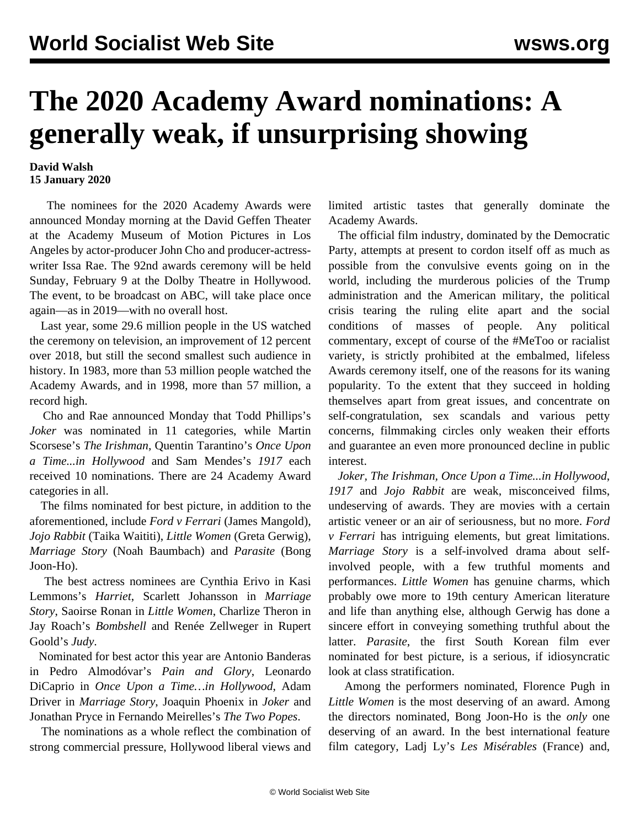## **The 2020 Academy Award nominations: A generally weak, if unsurprising showing**

## **David Walsh 15 January 2020**

 The nominees for the 2020 Academy Awards were announced Monday morning at the David Geffen Theater at the Academy Museum of Motion Pictures in Los Angeles by actor-producer John Cho and producer-actresswriter Issa Rae. The 92nd awards ceremony will be held Sunday, February 9 at the Dolby Theatre in Hollywood. The event, to be broadcast on ABC, will take place once again—as in 2019—with no overall host.

 Last year, some 29.6 million people in the US watched the ceremony on television, an improvement of 12 percent over 2018, but still the second smallest such audience in history. In 1983, more than 53 million people watched the Academy Awards, and in 1998, more than 57 million, a record high.

 Cho and Rae announced Monday that Todd Phillips's *Joker* was nominated in 11 categories, while Martin Scorsese's *The Irishman*, Quentin Tarantino's *Once Upon a Time...in Hollywood* and Sam Mendes's *1917* each received 10 nominations. There are 24 Academy Award categories in all.

 The films nominated for best picture, in addition to the aforementioned, include *Ford v Ferrari* (James Mangold), *Jojo Rabbit* (Taika Waititi), *Little Women* (Greta Gerwig), *Marriage Story* (Noah Baumbach) and *Parasite* (Bong Joon-Ho).

 The best actress nominees are Cynthia Erivo in Kasi Lemmons's *Harriet*, Scarlett Johansson in *Marriage Story*, Saoirse Ronan in *Little Women*, Charlize Theron in Jay Roach's *Bombshell* and Renée Zellweger in Rupert Goold's *Judy*.

 Nominated for best actor this year are Antonio Banderas in Pedro Almodóvar's *Pain and Glory*, Leonardo DiCaprio in *Once Upon a Time…in Hollywood*, Adam Driver in *Marriage Story*, Joaquin Phoenix in *Joker* and Jonathan Pryce in Fernando Meirelles's *The Two Popes*.

 The nominations as a whole reflect the combination of strong commercial pressure, Hollywood liberal views and limited artistic tastes that generally dominate the Academy Awards.

 The official film industry, dominated by the Democratic Party, attempts at present to cordon itself off as much as possible from the convulsive events going on in the world, including the murderous policies of the Trump administration and the American military, the political crisis tearing the ruling elite apart and the social conditions of masses of people. Any political commentary, except of course of the #MeToo or racialist variety, is strictly prohibited at the embalmed, lifeless Awards ceremony itself, one of the reasons for its waning popularity. To the extent that they succeed in holding themselves apart from great issues, and concentrate on self-congratulation, sex scandals and various petty concerns, filmmaking circles only weaken their efforts and guarantee an even more pronounced decline in public interest.

 *Joker, The Irishman, Once Upon a Time...in Hollywood*, *1917* and *Jojo Rabbit* are weak, misconceived films, undeserving of awards. They are movies with a certain artistic veneer or an air of seriousness, but no more. *Ford v Ferrari* has intriguing elements, but great limitations. *Marriage Story* is a self-involved drama about selfinvolved people, with a few truthful moments and performances. *Little Women* has genuine charms, which probably owe more to 19th century American literature and life than anything else, although Gerwig has done a sincere effort in conveying something truthful about the latter. *Parasite*, the first South Korean film ever nominated for best picture, is a serious, if idiosyncratic look at class stratification.

 Among the performers nominated, Florence Pugh in *Little Women* is the most deserving of an award. Among the directors nominated, Bong Joon-Ho is the *only* one deserving of an award. In the best international feature film category, Ladj Ly's *Les Misérables* (France) and,